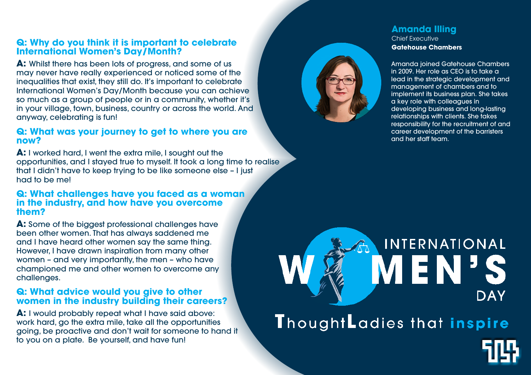# **Q: Why do you think it is important to celebrate International Women's Day/Month?**

**A:** Whilst there has been lots of progress, and some of us may never have really experienced or noticed some of the inequalities that exist, they still do. It's important to celebrate International Women's Day/Month because you can achieve so much as a group of people or in a community, whether it's in your village, town, business, country or across the world. And anyway, celebrating is fun!

## **Q: What was your journey to get to where you are now?**

**A:** I worked hard, I went the extra mile, I sought out the opportunities, and I stayed true to myself. It took a long time to realise that I didn't have to keep trying to be like someone else – I just had to be me!

## **Q: What challenges have you faced as a woman in the industry, and how have you overcome them?**

**A:** Some of the biggest professional challenges have been other women. That has always saddened me and I have heard other women say the same thing. However, I have drawn inspiration from many other women – and very importantly, the men – who have championed me and other women to overcome any challenges.

## **Q: What advice would you give to other women in the industry building their careers?**

**A:** I would probably repeat what I have said above: work hard, go the extra mile, take all the opportunities going, be proactive and don't wait for someone to hand it to you on a plate. Be yourself, and have fun!



#### **Amanda Illing** Chief Executive **Gatehouse Chambers**

Amanda joined Gatehouse Chambers in 2009. Her role as CEO is to take a lead in the strategic development and management of chambers and to implement its business plan. She takes a key role with colleagues in developing business and long-lasting relationships with clients. She takes responsibility for the recruitment of and career development of the barristers and her staff team.

# INTERNATIONAL IEN **DAY**